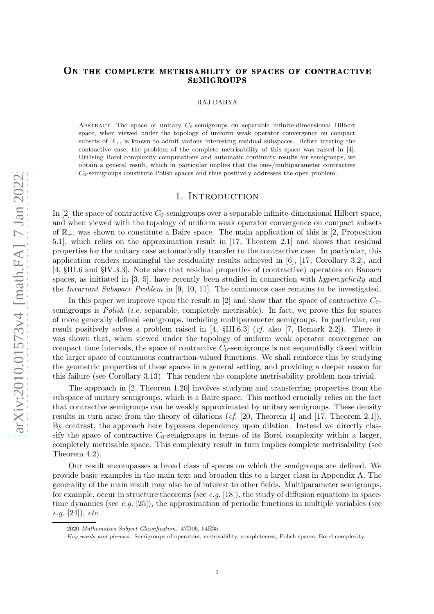#### ON THE COMPLETE METRISABILITY OF SPACES OF CONTRACTIVE **SEMIGROUPS**

RAJ DAHYA

ABSTRACT. The space of unitary  $C_0$ -semigroups on separable infinite-dimensional Hilbert space, when viewed under the topology of uniform weak operator convergence on compact subsets of  $\mathbb{R}_+$ , is known to admit various interesting residual subspaces. Before treating the contractive case, the problem of the complete metrisability of this space was raised in [\[4\]](#page-12-0). Utilising Borel complexity computations and automatic continuity results for semigroups, we obtain a general result, which in particular implies that the one-/multiparameter contractive  $C_0$ -semigroups constitute Polish spaces and thus positively addresses the open problem.

## 1. INTRODUCTION

In [\[2\]](#page-12-1) the space of contractive  $C_0$ -semigroups over a separable infinite-dimensional Hilbert space, and when viewed with the topology of uniform weak operator convergence on compact subsets of  $\mathbb{R}_+$ , was shown to constitute a Baire space. The main application of this is [\[2,](#page-12-1) Proposition 5.1], which relies on the approximation result in [\[17,](#page-12-2) Theorem 2.1] and shows that residual properties for the unitary case automatically transfer to the contractive case. In particular, this application renders meaningful the residuality results achieved in [\[6\]](#page-12-3), [\[17,](#page-12-2) Corollary 3.2], and [\[4,](#page-12-0) §III.6 and §IV.3.3]. Note also that residual properties of (contractive) operators on Banach spaces, as initiated in  $[3, 5]$  $[3, 5]$ , have recently been studied in connection with *hypercyclicity* and the Invariant Subspace Problem in [\[9,](#page-12-6) [10,](#page-12-7) [11\]](#page-12-8). The continuous case remains to be investigated.

In this paper we improve upon the result in [\[2\]](#page-12-1) and show that the space of contractive  $C_0$ semigroups is Polish (i.e. separable, completely metrisable). In fact, we prove this for spaces of more generally defined semigroups, including multiparameter semigroups. In particular, our result positively solves a problem raised in [\[4,](#page-12-0) §III.6.3] (cf. also [\[7,](#page-12-9) Remark 2.2]). There it was shown that, when viewed under the topology of uniform weak operator convergence on compact time intervals, the space of contractive  $C_0$ -semigroups is not sequentially closed within the larger space of continuous contraction-valued functions. We shall reinforce this by studying the geometric properties of these spaces in a general setting, and providing a deeper reason for this failure (see Corollary [3.13\)](#page-5-0). This renders the complete metrisability problem non-trivial.

The approach in [\[2,](#page-12-1) Theorem 1.20] involves studying and transferring properties from the subspace of unitary semigroups, which is a Baire space. This method crucially relies on the fact that contractive semigroups can be weakly approximated by unitary semigroups. These density results in turn arise from the theory of dilations (cf. [\[20,](#page-12-10) Theorem 1] and [\[17,](#page-12-2) Theorem 2.1]). By contrast, the approach here bypasses dependency upon dilation. Instead we directly classify the space of contractive  $C_0$ -semigroups in terms of its Borel complexity within a larger, completely metrisable space. This complexity result in turn implies complete metrisability (see Theorem [4.2\)](#page-6-0).

Our result encompasses a broad class of spaces on which the semigroups are defined. We provide basic examples in the main text and broaden this to a larger class in Appendix [A.](#page-8-0) The generality of the main result may also be of interest to other fields. Multiparameter semigroups, for example, occur in structure theorems (see e.g. [\[18\]](#page-12-11)), the study of diffusion equations in spacetime dynamics (see  $e.g.$  [\[25\]](#page-12-12)), the approximation of periodic functions in multiple variables (see e.g. [\[24\]](#page-12-13)), etc.

<sup>2020</sup> Mathematics Subject Classification. 47D06, 54E35.

Key words and phrases. Semigroups of operators, metrisability, completeness, Polish spaces, Borel complexity.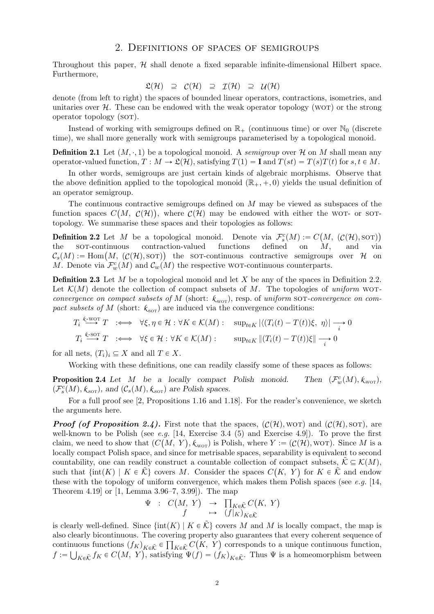Throughout this paper,  $H$  shall denote a fixed separable infinite-dimensional Hilbert space. Furthermore,

$$
\mathfrak{L}(\mathcal{H}) \supseteq \mathcal{C}(\mathcal{H}) \supseteq \mathcal{I}(\mathcal{H}) \supseteq \mathcal{U}(\mathcal{H})
$$

denote (from left to right) the spaces of bounded linear operators, contractions, isometries, and unitaries over  $H$ . These can be endowed with the weak operator topology (WOT) or the strong operator topology (sot).

<span id="page-1-2"></span>Instead of working with semigroups defined on  $\mathbb{R}_+$  (continuous time) or over  $\mathbb{N}_0$  (discrete time), we shall more generally work with semigroups parameterised by a topological monoid.

**Definition 2.1** Let  $(M, \cdot, 1)$  be a topological monoid. A semigroup over H on M shall mean any operator-valued function,  $T : M \to \mathfrak{L}(\mathcal{H})$ , satisfying  $T(1) = I$  and  $T(st) = T(s)T(t)$  for  $s, t \in M$ .

In other words, semigroups are just certain kinds of algebraic morphisms. Observe that the above definition applied to the topological monoid  $(\mathbb{R}_+, +, 0)$  yields the usual definition of an operator semigroup.

The continuous contractive semigroups defined on  $M$  may be viewed as subspaces of the function spaces  $C(M, \mathcal{C}(\mathcal{H}))$ , where  $\mathcal{C}(\mathcal{H})$  may be endowed with either the WOT- or SOTtopology. We summarise these spaces and their topologies as follows:

<span id="page-1-0"></span>**Definition 2.2** Let M be a topological monoid. Denote via  $\mathcal{F}_s^c(M) := C(M, (C(H), SOT))$ the sor-continuous contraction-valued functions defined on  $M$ , and via  $\mathcal{C}_s(M) := \text{Hom}(M, (\mathcal{C}(\mathcal{H}), \text{sort})$  the sot-continuous contractive semigroups over H on M. Denote via  $\mathcal{F}_{w}^{c}(M)$  and  $\mathcal{C}_{w}(M)$  the respective wor-continuous counterparts.

**Definition 2.3** Let M be a topological monoid and let X be any of the spaces in Definition [2.2.](#page-1-0) Let  $\mathcal{K}(M)$  denote the collection of compact subsets of M. The topologies of uniform worconvergence on compact subsets of M (short:  $k_{\text{wor}}$ ), resp. of uniform sor-convergence on compact subsets of M (short:  $k_{\text{sort}}$ ) are induced via the convergence conditions:

$$
T_i \stackrel{\text{k-NOT}}{\longrightarrow} T \quad :\iff \forall \xi, \eta \in \mathcal{H} : \forall K \in \mathcal{K}(M) : \quad \sup_{t \in K} |\langle (T_i(t) - T(t))\xi, \eta \rangle| \longrightarrow 0
$$
  

$$
T_i \stackrel{\text{k-NOT}}{\longrightarrow} T \quad :\iff \forall \xi \in \mathcal{H} : \forall K \in \mathcal{K}(M) : \quad \sup_{t \in K} \|(T_i(t) - T(t))\xi\| \longrightarrow 0
$$

<span id="page-1-1"></span>for all nets,  $(T_i)_i \subseteq X$  and all  $T \in X$ .

Working with these definitions, one can readily classify some of these spaces as follows:

**Proposition 2.4** Let  $M$  be a locally compact Polish monoid.  $C_w^c(M), \mathcal{K}_{\text{word}}),$  $(\mathcal{F}_{s}^{c}(M), \mathcal{K}_{\text{sort}})$ , and  $(\mathcal{C}_{s}(M), \mathcal{K}_{\text{sort}})$  are Polish spaces.

For a full proof see [\[2,](#page-12-1) Propositions 1.16 and 1.18]. For the reader's convenience, we sketch the arguments here.

**Proof (of Proposition [2.4\)](#page-1-1).** First note that the spaces,  $(C(\mathcal{H}), \text{wor})$  and  $(C(\mathcal{H}), \text{sort})$ , are well-known to be Polish (see  $e.g.$  [\[14,](#page-12-14) Exercise 3.4 (5) and Exercise 4.9]). To prove the first claim, we need to show that  $(C(M, Y), \ell_{\text{wor}})$  is Polish, where  $Y := (\mathcal{C}(\mathcal{H}), \text{wor}})$ . Since M is a locally compact Polish space, and since for metrisable spaces, separability is equivalent to second countability, one can readily construct a countable collection of compact subsets,  $\tilde{\mathcal{K}} \subseteq \mathcal{K}(M)$ , such that  $\{\text{int}(K) \mid K \in \tilde{\mathcal{K}}\}$  covers M. Consider the spaces  $C(K, Y)$  for  $K \in \tilde{\mathcal{K}}$  and endow these with the topology of uniform convergence, which makes them Polish spaces (see e.g.  $[14,$ Theorem 4.19] or [\[1,](#page-12-15) Lemma 3.96–7, 3.99]). The map

$$
\Psi : C(M, Y) \rightarrow \prod_{K \in \tilde{\mathcal{K}}} C(K, Y)
$$
  

$$
f \rightarrow (f|_K)_{K \in \tilde{\mathcal{K}}}
$$

is clearly well-defined. Since  $\{\text{int}(K) | K \in \tilde{\mathcal{K}}\}$  covers M and M is locally compact, the map is also clearly bicontinuous. The covering property also guarantees that every coherent sequence of continuous functions  $(f_K)_{K\in\tilde{\mathcal{K}}}\in\prod_{K\in\tilde{\mathcal{K}}}C(K,\ Y)$  corresponds to a unique continuous function,  $f := \bigcup_{K \in \tilde{\mathcal{K}}} f_K \in C(M, Y)$ , satisfying  $\Psi(f) = (f_K)_{K \in \tilde{\mathcal{K}}}$ . Thus  $\Psi$  is a homeomorphism between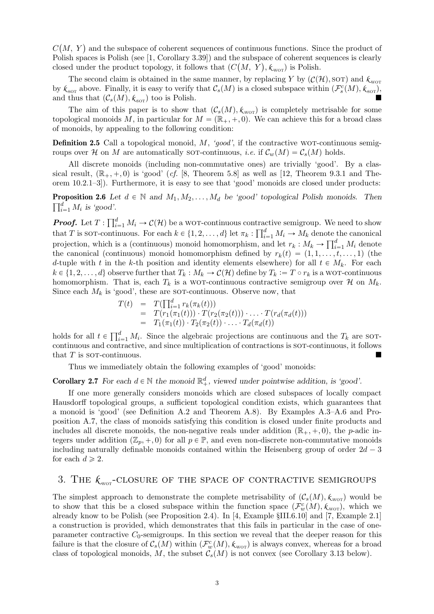$C(M, Y)$  and the subspace of coherent sequences of continuous functions. Since the product of Polish spaces is Polish (see [\[1,](#page-12-15) Corollary 3.39]) and the subspace of coherent sequences is clearly closed under the product topology, it follows that  $(C(M, Y), k_{\text{wor}})$  is Polish.

The second claim is obtained in the same manner, by replacing Y by  $(C(\mathcal{H}), SOT)$  and  $k_{\text{wor}}$ by  $k_{\text{sort}}$  above. Finally, it is easy to verify that  $\mathcal{C}_s(M)$  is a closed subspace within  $(\mathcal{F}_s^c(M), k_{\text{sort}})$ , and thus that  $(\mathcal{C}_s(M), k_{\text{sort}})$  too is Polish.

The aim of this paper is to show that  $(C_s(M), \mathcal{K}_{\text{wor}})$  is completely metrisable for some topological monoids M, in particular for  $M = (\mathbb{R}_+, +, 0)$ . We can achieve this for a broad class of monoids, by appealing to the following condition:

<span id="page-2-1"></span>**Definition 2.5** Call a topological monoid,  $M$ , 'good', if the contractive wor-continuous semigroups over H on M are automatically sor-continuous, *i.e.* if  $\mathcal{C}_w(M) = \mathcal{C}_s(M)$  holds.

All discrete monoids (including non-commutative ones) are trivially 'good'. By a classical result,  $(\mathbb{R}_+, +, 0)$  is 'good' (cf. [\[8,](#page-12-16) Theorem 5.8] as well as [\[12,](#page-12-17) Theorem 9.3.1 and Theorem 10.2.1–3]). Furthermore, it is easy to see that 'good' monoids are closed under products:

**Proposition 2.6** Let  $d \in \mathbb{N}$  and  $M_1, M_2, \ldots, M_d$  be 'good' topological Polish monoids. Then  $\prod_{i=1}^d M_i$  is 'good'.

**Proof.** Let  $T: \prod_{i=1}^d M_i \to C(\mathcal{H})$  be a WOT-continuous contractive semigroup. We need to show that T is sor-continuous. For each  $k \in \{1, 2, ..., d\}$  let  $\pi_k : \prod_{i=1}^d M_i \to M_k$  denote the canonical projection, which is a (continuous) monoid homomorphism, and let  $r_k : M_k \to \prod_{i=1}^d M_i$  denote the canonical (continuous) monoid homomorphism defined by  $r_k(t) = (1, 1, \ldots, t, \ldots, 1)$  (the d-tuple with t in the k-th position and identity elements elsewhere) for all  $t \in M_k$ . For each  $k \in \{1, 2, \ldots, d\}$  observe further that  $T_k : M_k \to C(\mathcal{H})$  define by  $T_k := T \circ r_k$  is a wor-continuous homomorphism. That is, each  $T_k$  is a WOT-continuous contractive semigroup over  $\mathcal H$  on  $M_k$ . Since each  $M_k$  is 'good', these are sor-continuous. Observe now, that

$$
T(t) = T(\prod_{i=1}^{d} r_k(\pi_k(t)))
$$
  
= 
$$
T(r_1(\pi_1(t))) \cdot T(r_2(\pi_2(t))) \cdot \ldots \cdot T(r_d(\pi_d(t)))
$$
  
= 
$$
T_1(\pi_1(t)) \cdot T_2(\pi_2(t)) \cdot \ldots \cdot T_d(\pi_d(t))
$$

holds for all  $t \in \prod_{i=1}^d M_i$ . Since the algebraic projections are continuous and the  $T_k$  are sotcontinuous and contractive, and since multiplication of contractions is sot-continuous, it follows that  $T$  is sor-continuous.

Thus we immediately obtain the following examples of 'good' monoids:

<span id="page-2-0"></span>**Corollary 2.7** For each  $d \in \mathbb{N}$  the monoid  $\mathbb{R}^d_+$ , viewed under pointwise addition, is 'good'.

If one more generally considers monoids which are closed subspaces of locally compact Hausdorff topological groups, a sufficient topological condition exists, which guarantees that a monoid is 'good' (see Definition [A.2](#page-9-0) and Theorem [A.8\)](#page-10-0). By Examples [A.3–](#page-9-1)[A.6](#page-9-2) and Proposition [A.7,](#page-10-1) the class of monoids satisfying this condition is closed under finite products and includes all discrete monoids, the non-negative reals under addition  $(\mathbb{R}_+, +, 0)$ , the p-adic integers under addition  $(\mathbb{Z}_p, +, 0)$  for all  $p \in \mathbb{P}$ , and even non-discrete non-commutative monoids including naturally definable monoids contained within the Heisenberg group of order  $2d - 3$ for each  $d \geqslant 2$ .

# 3. THE  $k_{\text{wor}}$ -CLOSURE OF THE SPACE OF CONTRACTIVE SEMIGROUPS

The simplest approach to demonstrate the complete metrisability of  $(C_s(M), \mathcal{K}_{\text{wor}})$  would be to show that this be a closed subspace within the function space  $(\mathcal{F}^c_w(M), k_{\text{wor}})$ , which we already know to be Polish (see Proposition [2.4\)](#page-1-1). In [\[4,](#page-12-0) Example §III.6.10] and [\[7,](#page-12-9) Example 2.1] a construction is provided, which demonstrates that this fails in particular in the case of oneparameter contractive  $C_0$ -semigroups. In this section we reveal that the deeper reason for this failure is that the closure of  $C_s(M)$  within  $(\mathcal{F}^c_w(M), k_{\text{wor}})$  is always convex, whereas for a broad class of topological monoids, M, the subset  $C_s(M)$  is not convex (see Corollary [3.13](#page-5-0) below).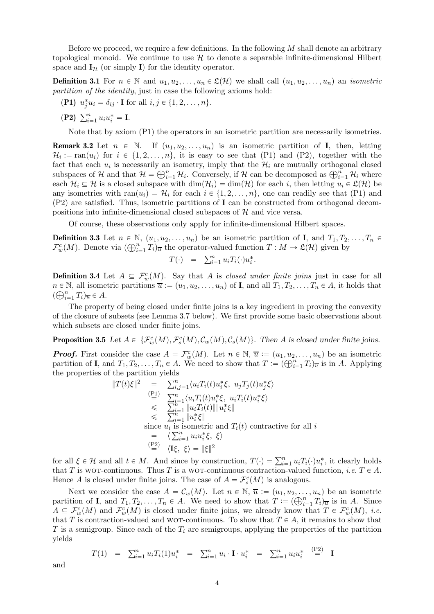Before we proceed, we require a few definitions. In the following  $M$  shall denote an arbitrary topological monoid. We continue to use  $H$  to denote a separable infinite-dimensional Hilbert space and  $\mathbf{I}_{\mathcal{H}}$  (or simply **I**) for the identity operator.

<span id="page-3-0"></span>**Definition 3.1** For  $n \in \mathbb{N}$  and  $u_1, u_2, \ldots, u_n \in \mathcal{L}(\mathcal{H})$  we shall call  $(u_1, u_2, \ldots, u_n)$  an *isometric* partition of the identity, just in case the following axioms hold:

- <span id="page-3-1"></span>(P1)  $u_j^* u_i = \delta_{ij} \cdot \mathbf{I}$  for all  $i, j \in \{1, 2, ..., n\}.$
- (P2)  $\sum_{i=1}^{n} u_i u_i^* = I$ .

Note that by axiom ([P1\)](#page-3-0) the operators in an isometric partition are necessarily isometries.

<span id="page-3-2"></span>**Remark 3.2** Let  $n \in \mathbb{N}$ . If  $(u_1, u_2, \ldots, u_n)$  is an isometric partition of **I**, then, letting  $\mathcal{H}_i := \text{ran}(u_i)$  for  $i \in \{1, 2, \ldots, n\}$ , it is easy to see that ([P1\)](#page-3-0) and ([P2\)](#page-3-1), together with the fact that each  $u_i$  is necessarily an isometry, imply that the  $\mathcal{H}_i$  are mutually orthogonal closed subspaces of H and that  $\mathcal{H} = \bigoplus_{i=1}^n \mathcal{H}_i$ . Conversely, if H can be decomposed as  $\bigoplus_{i=1}^n \mathcal{H}_i$  where each  $\mathcal{H}_i \subseteq \mathcal{H}$  is a closed subspace with  $\dim(\mathcal{H}_i) = \dim(\mathcal{H})$  for each i, then letting  $u_i \in \mathcal{L}(\mathcal{H})$  be any isometries with  $\text{ran}(u_i) = \mathcal{H}_i$  for each  $i \in \{1, 2, ..., n\}$ , one can readily see that ([P1\)](#page-3-0) and ([P2\)](#page-3-1) are satisfied. Thus, isometric partitions of I can be constructed from orthogonal decompositions into infinite-dimensional closed subspaces of  $H$  and vice versa.

Of course, these observations only apply for infinite-dimensional Hilbert spaces.

**Definition 3.3** Let  $n \in \mathbb{N}$ ,  $(u_1, u_2, \ldots, u_n)$  be an isometric partition of **I**, and  $T_1, T_2, \ldots, T_n \in$  $\mathcal{F}^c_w(M)$ . Denote via  $(\bigoplus_{i=1}^n T_i)_{\overline{u}}$  the operator-valued function  $T : M \to \mathfrak{L}(\mathcal{H})$  given by

$$
T(\cdot) = \sum_{i=1}^n u_i T_i(\cdot) u_i^*.
$$

**Definition 3.4** Let  $A \subseteq \mathcal{F}^c_w(M)$ . Say that A is closed under finite joins just in case for all  $n \in \mathbb{N}$ , all isometric partitions  $\overline{u} := (u_1, u_2, \dots, u_n)$  of **I**, and all  $T_1, T_2, \dots, T_n \in A$ , it holds that  $(\bigoplus_{i=1}^n T_i)_{\overline{u}} \in A.$ 

The property of being closed under finite joins is a key ingredient in proving the convexity of the closure of subsets (see Lemma [3.7](#page-4-0) below). We first provide some basic observations about which subsets are closed under finite joins.

<span id="page-3-3"></span>**Proposition 3.5** Let  $A \in \{F_w^c(M), F_s^c(M), C_w(M), C_s(M)\}$ . Then A is closed under finite joins.

**Proof.** First consider the case  $A = \mathcal{F}^c_w(M)$ . Let  $n \in \mathbb{N}$ ,  $\overline{u} := (u_1, u_2, \dots, u_n)$  be an isometric partition of **I**, and  $T_1, T_2, \ldots, T_n \in A$ . We need to show that  $T := (\bigoplus_{i=1}^n T_i)_{\overline{u}}$  is in A. Applying the properties of the partition yields

$$
||T(t)\xi||^2 = \sum_{i,j=1}^n \langle u_i T_i(t) u_i^* \xi, u_j T_j(t) u_j^* \xi \rangle
$$
  
\n
$$
\stackrel{(P1)}{=} \sum_{i=1}^n \langle u_i T_i(t) u_i^* \xi, u_i T_i(t) u_i^* \xi \rangle
$$
  
\n
$$
\leqslant \sum_{i=1}^n ||u_i T_i(t)|| ||u_i^* \xi||
$$
  
\n
$$
\leqslant \sum_{i=1}^n ||u_i^* \xi||
$$
  
\nsince  $u_i$  is isometric and  $T_i(t)$  contractive for all  $i$   
\n
$$
= \langle \sum_{i=1}^n u_i u_i^* \xi, \xi \rangle
$$
  
\n
$$
\stackrel{(P2)}{=} \langle \mathbf{I} \xi, \xi \rangle = ||\xi||^2
$$

for all  $\xi \in \mathcal{H}$  and all  $t \in M$ . And since by construction,  $T(\cdot) = \sum_{i=1}^{n} u_i T_i(\cdot) u_i^*$ , it clearly holds that T is WOT-continuous. Thus T is a WOT-continuous contraction-valued function, *i.e.*  $T \in A$ . Hence A is closed under finite joins. The case of  $A = \mathcal{F}_s^c(M)$  is analogous.

Next we consider the case  $A = \mathcal{C}_w(M)$ . Let  $n \in \mathbb{N}, \overline{u} := (u_1, u_2, \dots, u_n)$  be an isometric partition of **I**, and  $T_1, T_2, \ldots, T_n \in A$ . We need to show that  $T := (\bigoplus_{i=1}^n T_i)_{\overline{u}}$  is in A. Since  $A \subseteq \mathcal{F}^c_w(M)$  and  $\mathcal{F}^c_w(M)$  is closed under finite joins, we already know that  $T \in \mathcal{F}^c_w(M)$ , *i.e.* that T is contraction-valued and WOT-continuous. To show that  $T \in A$ , it remains to show that T is a semigroup. Since each of the  $T_i$  are semigroups, applying the properties of the partition yields

$$
T(1) = \sum_{i=1}^{n} u_i T_i(1) u_i^* = \sum_{i=1}^{n} u_i \cdot \mathbf{I} \cdot u_i^* = \sum_{i=1}^{n} u_i u_i^* \stackrel{\text{(P2)}}{=} \mathbf{I}
$$

and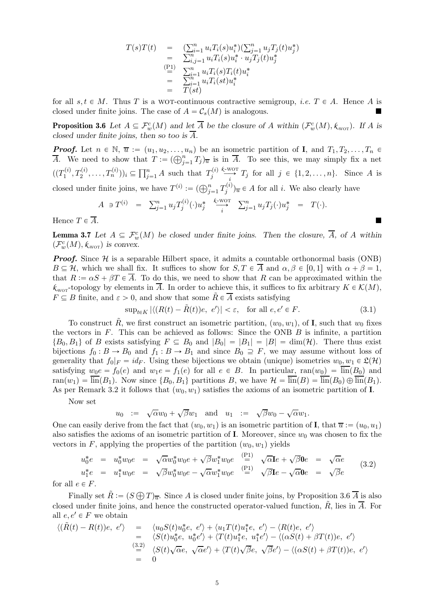$$
T(s)T(t) = \n\begin{array}{rcl}\n\sum_{i=1}^{n} u_i T_i(s) u_i^*)(\sum_{j=1}^{n} u_j T_j(t) u_j^* \\
= \n\sum_{i,j=1}^{n} u_i T_i(s) u_i^* \cdot u_j T_j(t) u_j^* \\
\stackrel{\text{(P1)}}{=} \n\sum_{i=1}^{n} u_i T_i(s) T_i(t) u_i^* \\
= \n\sum_{i=1}^{n} u_i T_i(st) u_i^* \\
= T(st)\n\end{array}
$$

<span id="page-4-1"></span>for all  $s, t \in M$ . Thus T is a wor-continuous contractive semigroup, *i.e.*  $T \in A$ . Hence A is closed under finite joins. The case of  $A = \mathcal{C}_s(M)$  is analogous.

**Proposition 3.6** Let  $A \subseteq \mathcal{F}^c_w(M)$  and let  $\overline{A}$  be the closure of A within  $(\mathcal{F}^c_w(M), \mathcal{K}_{wor})$ . If A is closed under finite joins, then so too is  $\overline{A}$ .

**Proof.** Let  $n \in \mathbb{N}$ ,  $\overline{u} := (u_1, u_2, \dots, u_n)$  be an isometric partition of **I**, and  $T_1, T_2, \dots, T_n \in$  $\overline{A}$ . We need to show that  $T := (\bigoplus_{j=1}^n T_j)_{\overline{u}}$  is in  $\overline{A}$ . To see this, we may simply fix a net  $((T_1^{(i)}$  $(T_1^{(i)}, T_2^{(i)}, \ldots, T_n^{(i)}))_i \subseteq \prod_{j=1}^n A$  such that  $T_j^{(i)}$ j *k* -wot  $\sum_{i=1}^{N} T_i$  for all  $j \in \{1, 2, ..., n\}$ . Since A is closed under finite joins, we have  $T^{(i)} := (\bigoplus_{j=1}^{n} T_j^{(i)}$  $(j^{(i)})_{\overline{u}} \in A$  for all *i*. We also clearly have

$$
A \ni T^{(i)} = \sum_{j=1}^n u_j T_j^{(i)}(\cdot) u_j^* \xrightarrow[i]{} \sum_{j=1}^n u_j T_j(\cdot) u_j^* = T(\cdot).
$$

<span id="page-4-0"></span>Hence  $T \in \overline{A}$ .

**Lemma 3.7** Let  $A \subseteq \mathcal{F}^c_w(M)$  be closed under finite joins. Then the closure,  $\overline{A}$ , of A within  $(\mathcal{F}^c_w(M), \mathcal{K}_{\text{word}})$  is convex.

**Proof.** Since  $H$  is a separable Hilbert space, it admits a countable orthonormal basis (ONB)  $B \subseteq \mathcal{H}$ , which we shall fix. It suffices to show for  $S, T \in \overline{A}$  and  $\alpha, \beta \in [0, 1]$  with  $\alpha + \beta = 1$ , that  $R := \alpha S + \beta T \in \overline{A}$ . To do this, we need to show that R can be approximated within the  $k_{\text{wor}}$ -topology by elements in  $\overline{A}$ . In order to achieve this, it suffices to fix arbitrary  $K \in \mathcal{K}(M)$ ,  $F \subseteq B$  finite, and  $\varepsilon > 0$ , and show that some  $\tilde{R} \in \overline{A}$  exists satisfying

<span id="page-4-3"></span>
$$
\sup_{t \in K} |\langle (R(t) - \tilde{R}(t))e, e' \rangle| < \varepsilon, \quad \text{for all } e, e' \in F. \tag{3.1}
$$

To construct  $\tilde{R}$ , we first construct an isometric partition,  $(w_0, w_1)$ , of **I**, such that  $w_0$  fixes the vectors in  $F$ . This can be achieved as follows: Since the ONB  $B$  is infinite, a partition  $\{B_0, B_1\}$  of B exists satisfying  $F \subseteq B_0$  and  $|B_0| = |B_1| = |B| = \dim(\mathcal{H})$ . There thus exist bijections  $f_0 : B \to B_0$  and  $f_1 : B \to B_1$  and since  $B_0 \supseteq F$ , we may assume without loss of generality that  $f_0|_F = id_F$ . Using these bijections we obtain (unique) isometries  $w_0, w_1 \in \mathfrak{L}(\mathcal{H})$ satisfying  $w_0e = f_0(e)$  and  $w_1e = f_1(e)$  for all  $e \in B$ . In particular,  $ran(w_0) = \overline{lin}(B_0)$  and  $ran(w_1) = \overline{lin}(B_1)$ . Now since  $\{B_0, B_1\}$  partitions B, we have  $\mathcal{H} = \overline{lin}(B) = \overline{lin}(B_0) \oplus \overline{lin}(B_1)$ . As per Remark [3.2](#page-3-2) it follows that  $(w_0, w_1)$  satisfies the axioms of an isometric partition of I.

Now set

<span id="page-4-2"></span>
$$
u_0 \ := \ \sqrt{\alpha} w_0 + \sqrt{\beta} w_1 \quad \text{and} \quad u_1 \ := \ \sqrt{\beta} w_0 - \sqrt{\alpha} w_1.
$$

One can easily derive from the fact that  $(w_0, w_1)$  is an isometric partition of **I**, that  $\overline{u} := (u_0, u_1)$ also satisfies the axioms of an isometric partition of I. Moreover, since  $w_0$  was chosen to fix the vectors in F, applying the properties of the partition  $(w_0, w_1)$  yields

$$
u_0^*e = u_0^*w_0e = \sqrt{\alpha}w_0^*w_0e + \sqrt{\beta}w_1^*w_0e \stackrel{\text{(P1)}}{=} \sqrt{\alpha}Ie + \sqrt{\beta}0e = \sqrt{\alpha}e
$$
  
\n
$$
u_1^*e = u_1^*w_0e = \sqrt{\beta}w_0^*w_0e - \sqrt{\alpha}w_1^*w_0e \stackrel{\text{(P1)}}{=} \sqrt{\beta}Ie - \sqrt{\alpha}0e = \sqrt{\beta}e
$$
  
\n
$$
e \in F.
$$
\n(3.2)

for all

Finally set  $\tilde{R} := (S \bigoplus T)_{\overline{u}}$ . Since A is closed under finite joins, by Proposition [3.6](#page-4-1)  $\overline{A}$  is also closed under finite joins, and hence the constructed operator-valued function,  $\tilde{R}$ , lies in  $\overline{A}$ . For all  $e, e' \in F$  we obtain

$$
\langle (\tilde{R}(t) - R(t))e, e' \rangle = \langle u_0 S(t)u_0^*e, e' \rangle + \langle u_1 T(t)u_1^*e, e' \rangle - \langle R(t)e, e' \rangle
$$
  
\n
$$
= \langle S(t)u_0^*e, u_0^*e' \rangle + \langle T(t)u_1^*e, u_1^*e' \rangle - \langle (\alpha S(t) + \beta T(t))e, e' \rangle
$$
  
\n
$$
\stackrel{(3.2)}{=} \langle S(t)\sqrt{\alpha}e, \sqrt{\alpha}e' \rangle + \langle T(t)\sqrt{\beta}e, \sqrt{\beta}e' \rangle - \langle (\alpha S(t) + \beta T(t))e, e' \rangle
$$
  
\n
$$
= 0
$$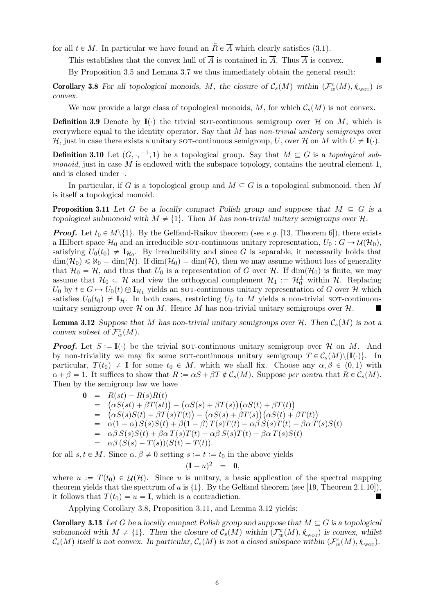for all  $t \in M$ . In particular we have found an  $\tilde{R} \in \overline{A}$  which clearly satisfies [\(3.1\)](#page-4-3).

This establishes that the convex hull of  $\overline{A}$  is contained in  $\overline{A}$ . Thus  $\overline{A}$  is convex.

By Proposition [3.5](#page-3-3) and Lemma [3.7](#page-4-0) we thus immediately obtain the general result:

<span id="page-5-1"></span>**Corollary 3.8** For all topological monoids, M, the closure of  $C_s(M)$  within  $(\mathcal{F}_w^c(M), k_{\text{wor}})$  is convex.

We now provide a large class of topological monoids, M, for which  $\mathcal{C}_s(M)$  is not convex.

**Definition 3.9** Denote by  $I(\cdot)$  the trivial sor-continuous semigroup over H on M, which is everywhere equal to the identity operator. Say that M has non-trivial unitary semigroups over H, just in case there exists a unitary sor-continuous semigroup, U, over H on M with  $U \neq I(.)$ .

**Definition 3.10** Let  $(G, \cdot, -1, 1)$  be a topological group. Say that  $M \subseteq G$  is a topological submonoid, just in case  $M$  is endowed with the subspace topology, contains the neutral element 1, and is closed under  $\cdot$ .

<span id="page-5-2"></span>In particular, if G is a topological group and  $M \subseteq G$  is a topological submonoid, then M is itself a topological monoid.

**Proposition 3.11** Let G be a locally compact Polish group and suppose that  $M \subseteq G$  is a topological submonoid with  $M \neq \{1\}$ . Then M has non-trivial unitary semigroups over  $\mathcal{H}$ .

**Proof.** Let  $t_0 \in M \setminus \{1\}$ . By the Gelfand-Raikov theorem (see e.g. [\[13,](#page-12-18) Theorem 6]), there exists a Hilbert space  $\mathcal{H}_0$  and an irreducible sor-continuous unitary representation,  $U_0: G \to \mathcal{U}(\mathcal{H}_0)$ , satisfying  $U_0(t_0) \neq \mathbf{I}_{\mathcal{H}_0}$ . By irreducibility and since G is separable, it necessarily holds that  $\dim(\mathcal{H}_0) \leq \aleph_0 = \dim(\mathcal{H})$ . If  $\dim(\mathcal{H}_0) = \dim(\mathcal{H})$ , then we may assume without loss of generality that  $\mathcal{H}_0 = \mathcal{H}$ , and thus that  $U_0$  is a representation of G over  $\mathcal{H}$ . If  $\dim(\mathcal{H}_0)$  is finite, we may assume that  $\mathcal{H}_0 \subset \mathcal{H}$  and view the orthogonal complement  $\mathcal{H}_1 := \mathcal{H}_0^{\perp}$  within  $\mathcal{H}$ . Replacing  $U_0$  by  $t \in G \mapsto U_0(t) \oplus \mathbf{I}_{\mathcal{H}_1}$  yields an sor-continuous unitary representation of G over H which satisfies  $U_0(t_0) \neq I_H$ . In both cases, restricting  $U_0$  to M yields a non-trivial sor-continuous unitary semigroup over  $\mathcal H$  on M. Hence M has non-trivial unitary semigroups over  $\mathcal H$ .

<span id="page-5-3"></span>**Lemma 3.12** Suppose that M has non-trivial unitary semigroups over  $H$ . Then  $C_s(M)$  is not a convex subset of  $\mathcal{F}^c_w(M)$ .

**Proof.** Let  $S := I(\cdot)$  be the trivial sor-continuous unitary semigroup over H on M. And by non-triviality we may fix some sor-continuous unitary semigroup  $T \in C_s(M)\setminus\{I(\cdot)\}\$ . In particular,  $T(t_0) \neq I$  for some  $t_0 \in M$ , which we shall fix. Choose any  $\alpha, \beta \in (0, 1)$  with  $\alpha + \beta = 1$ . It suffices to show that  $R := \alpha S + \beta T \notin C_s(M)$ . Suppose per contra that  $R \in C_s(M)$ . Then by the semigroup law we have

$$
0 = R(st) - R(s)R(t)
$$
  
\n
$$
= (\alpha S(st) + \beta T(st)) - (\alpha S(s) + \beta T(s))(\alpha S(t) + \beta T(t))
$$
  
\n
$$
= (\alpha S(s)S(t) + \beta T(s)T(t)) - (\alpha S(s) + \beta T(s))(\alpha S(t) + \beta T(t))
$$
  
\n
$$
= \alpha(1 - \alpha) S(s)S(t) + \beta(1 - \beta) T(s)T(t) - \alpha \beta S(s)T(t) - \beta \alpha T(s)S(t)
$$
  
\n
$$
= \alpha \beta S(s)S(t) + \beta \alpha T(s)T(t) - \alpha \beta S(s)T(t) - \beta \alpha T(s)S(t)
$$
  
\n
$$
= \alpha \beta (S(s) - T(s))(S(t) - T(t)).
$$

for all  $s, t \in M$ . Since  $\alpha, \beta \neq 0$  setting  $s := t := t_0$  in the above yields

$$
(\mathbf{I}-u)^2 = \mathbf{0},
$$

where  $u := T(t_0) \in \mathcal{U}(\mathcal{H})$ . Since u is unitary, a basic application of the spectral mapping theorem yields that the spectrum of u is  $\{1\}$ . By the Gelfand theorem (see [\[19,](#page-12-19) Theorem 2.1.10]), it follows that  $T(t_0) = u = I$ , which is a contradiction.

Applying Corollary [3.8,](#page-5-1) Proposition [3.11,](#page-5-2) and Lemma [3.12](#page-5-3) yields:

<span id="page-5-0"></span>**Corollary 3.13** Let G be a locally compact Polish group and suppose that  $M \subseteq G$  is a topological submonoid with  $M \neq \{1\}$ . Then the closure of  $C_s(M)$  within  $(\mathcal{F}_w^c(M), k_{\text{wor}})$  is convex, whilst  $\mathcal{C}_s(M)$  itself is not convex. In particular,  $\mathcal{C}_s(M)$  is not a closed subspace within  $(\mathcal{F}^c_w(M), k_{\text{wor}})$ .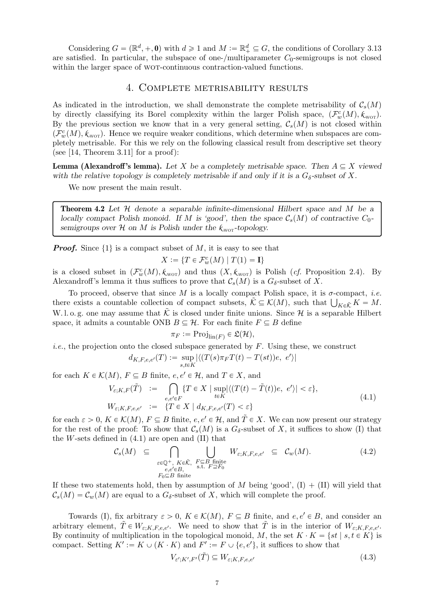Considering  $G = (\mathbb{R}^d, +, \mathbf{0})$  with  $d \geq 1$  and  $M := \mathbb{R}^d_+ \subseteq G$ , the conditions of Corollary [3.13](#page-5-0) are satisfied. In particular, the subspace of one-/multiparameter  $C_0$ -semigroups is not closed within the larger space of WOT-continuous contraction-valued functions.

#### 4. Complete metrisability results

As indicated in the introduction, we shall demonstrate the complete metrisability of  $C_s(M)$ by directly classifying its Borel complexity within the larger Polish space,  $(\mathcal{F}_w^c(M), k_{\text{wor}})$ . By the previous section we know that in a very general setting,  $C_s(M)$  is not closed within  $(\mathcal{F}^c_w(M), \mathcal{K}_{\text{wor}})$ . Hence we require weaker conditions, which determine when subspaces are completely metrisable. For this we rely on the following classical result from descriptive set theory (see  $[14,$  Theorem 3.11] for a proof):

**Lemma (Alexandroff's lemma).** Let X be a completely metrisable space. Then  $A \subseteq X$  viewed with the relative topology is completely metrisable if and only if it is a  $G_{\delta}$ -subset of X.

We now present the main result.

<span id="page-6-0"></span>**Theorem 4.2** Let  $H$  denote a separable infinite-dimensional Hilbert space and M be a locally compact Polish monoid. If M is 'good', then the space  $\mathcal{C}_s(M)$  of contractive  $C_0$ semigroups over  $H$  on M is Polish under the  $k_{\text{wor}}$ -topology.

**Proof.** Since  $\{1\}$  is a compact subset of M, it is easy to see that  $X := \{T \in \mathcal{F}^c_w(M) \mid T(1) = \mathbf{I}\}\$ 

is a closed subset in  $(\mathcal{F}_w^c(M), k_{\text{wor}})$  and thus  $(X, k_{\text{wor}})$  is Polish (*cf.* Proposition [2.4\)](#page-1-1). By Alexandroff's lemma it thus suffices to prove that  $\mathcal{C}_s(M)$  is a  $G_\delta$ -subset of X.

To proceed, observe that since M is a locally compact Polish space, it is  $\sigma$ -compact, *i.e.* there exists a countable collection of compact subsets,  $\tilde{\mathcal{K}} \subseteq \mathcal{K}(M)$ , such that  $\bigcup_{K \in \tilde{\mathcal{K}}} K = M$ . W. l. o. g. one may assume that  $\tilde{\mathcal{K}}$  is closed under finite unions. Since  $\mathcal{H}$  is a separable Hilbert space, it admits a countable ONB  $B \subseteq \mathcal{H}$ . For each finite  $F \subseteq B$  define

<span id="page-6-1"></span>
$$
\pi_F := \mathrm{Proj}_{\mathrm{lin}(F)} \in \mathfrak{L}(\mathcal{H}),
$$

*i.e.*, the projection onto the closed subspace generated by  $F$ . Using these, we construct

$$
d_{K,F,e,e'}(T) := \sup_{s,t \in K} |\langle (T(s)\pi_F T(t) - T(st))e, e' \rangle|
$$

for each  $K \in \mathcal{K}(M)$ ,  $F \subseteq B$  finite,  $e, e' \in \mathcal{H}$ , and  $T \in X$ , and

$$
V_{\varepsilon;K,F}(\tilde{T}) := \bigcap_{e,e'\in F} \{T \in X \mid \sup_{t \in K} |\langle (T(t) - \tilde{T}(t))e, e' \rangle| < \varepsilon \},\
$$
\n
$$
W_{\varepsilon;K,F,e,e'} := \{T \in X \mid d_{K,F,e,e'}(T) < \varepsilon \} \tag{4.1}
$$

for each  $\varepsilon > 0$ ,  $K \in \mathcal{K}(M)$ ,  $F \subseteq B$  finite,  $e, e' \in \mathcal{H}$ , and  $\tilde{T} \in X$ . We can now present our strategy for the rest of the proof: To show that  $\mathcal{C}_s(M)$  is a  $G_\delta$ -subset of X, it suffices to show (I) that the  $W$ -sets defined in  $(4.1)$  are open and  $(II)$  that

$$
\mathcal{C}_{s}(M) \subseteq \bigcap_{\substack{\varepsilon \in \mathbb{Q}^{+}, K \in \tilde{\mathcal{K}}, F \subseteq B \text{ finite} \\ e, e' \in B, \\ F_{0} \subseteq B \text{ finite}}} \bigcup_{\substack{W_{\varepsilon}; K, F, e, e' \subseteq C_{w}(M). \\ s.t. F \supseteq F_{0}}} W_{\varepsilon; K, F, e, e'} \subseteq \mathcal{C}_{w}(M).
$$
\n(4.2)

If these two statements hold, then by assumption of M being 'good',  $(I) + (II)$  will yield that  $\mathcal{C}_s(M) = \mathcal{C}_w(M)$  are equal to a  $G_\delta$ -subset of X, which will complete the proof.

Towards (I), fix arbitrary  $\varepsilon > 0$ ,  $K \in \mathcal{K}(M)$ ,  $F \subseteq B$  finite, and  $e, e' \in B$ , and consider an arbitrary element,  $\tilde{T} \in W_{\varepsilon,K,F,e,e'}$ . We need to show that  $\tilde{T}$  is in the interior of  $W_{\varepsilon,K,F,e,e'}$ . By continuity of multiplication in the topological monoid, M, the set  $K \cdot K = \{st \mid s, t \in K\}$  is compact. Setting  $K' := K \cup (K \cdot K)$  and  $F' := F \cup \{e, e'\}$ , it suffices to show that

<span id="page-6-3"></span><span id="page-6-2"></span>
$$
V_{\varepsilon';K',F'}(\tilde{T}) \subseteq W_{\varepsilon;K,F,e,e'} \tag{4.3}
$$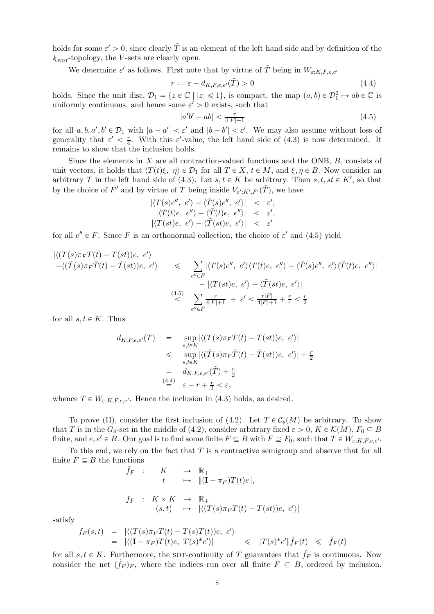holds for some  $\varepsilon' > 0$ , since clearly  $\tilde{T}$  is an element of the left hand side and by definition of the  $k_{\text{wor}}$ -topology, the *V*-sets are clearly open.

We determine  $\varepsilon'$  as follows. First note that by virtue of  $\tilde{T}$  being in  $W_{\varepsilon;K,F,e,e'}$ 

$$
r := \varepsilon - d_{K,F,e,e'}(\tilde{T}) > 0 \tag{4.4}
$$

holds. Since the unit disc,  $\mathcal{D}_1 = \{z \in \mathbb{C} \mid |z| \leq 1\}$ , is compact, the map  $(a, b) \in \mathcal{D}_1^2 \mapsto ab \in \mathbb{C}$  is uniformly continuous, and hence some  $\varepsilon' > 0$  exists, such that

<span id="page-7-1"></span><span id="page-7-0"></span>
$$
|a'b' - ab| < \frac{r}{4|F|+1} \tag{4.5}
$$

for all  $a, b, a', b' \in \mathcal{D}_1$  with  $|a - a'| < \varepsilon'$  and  $|b - b'| < \varepsilon'$ . We may also assume without loss of generality that  $\varepsilon' < \frac{r}{4}$  $\frac{r}{4}$ . With this  $\varepsilon'$ -value, the left hand side of [\(4.3\)](#page-6-2) is now determined. It remains to show that the inclusion holds.

Since the elements in  $X$  are all contraction-valued functions and the ONB,  $B$ , consists of unit vectors, it holds that  $\langle T(t)\xi, \eta \rangle \in \mathcal{D}_1$  for all  $T \in X, t \in M$ , and  $\xi, \eta \in B$ . Now consider an arbitrary T in the left hand side of [\(4.3\)](#page-6-2). Let  $s, t \in K$  be arbitrary. Then  $s, t, st \in K'$ , so that by the choice of  $F'$  and by virtue of T being inside  $V_{\varepsilon';K',F'}(\tilde{T})$ , we have

$$
\begin{array}{rcl}\n\left| \langle T(s)e'',\ e'\rangle - \langle \tilde{T}(s)e'',\ e'\rangle \right| < < \epsilon', \\
\left| \langle T(t)e,\ e''\rangle - \langle \tilde{T}(t)e,\ e''\rangle \right| < < \epsilon', \\
\left| \langle T(st)e,\ e'\rangle - \langle \tilde{T}(st)e,\ e'\rangle \right| < < \epsilon'\n\end{array}
$$

for all  $e'' \in F$ . Since F is an orthonormal collection, the choice of  $\varepsilon'$  and [\(4.5\)](#page-7-0) yield

$$
\begin{array}{rcl}\n\left| \langle (T(s)\pi_F T(t) - T(st))e, e' \rangle \right| & \leqslant & \sum_{e'' \in F} |\langle T(s)e'', e' \rangle \langle T(t)e, e'' \rangle - \langle \tilde{T}(s)e'', e' \rangle \langle \tilde{T}(t)e, e'' \rangle \right| \\
& \quad + \left| \langle T(st)e, e' \rangle - \langle \tilde{T}(st)e, e' \rangle \right| \\
& \quad + \left| \langle T(st)e, e' \rangle - \langle \tilde{T}(st)e, e' \rangle \right| \\
& \leqslant & \sum_{e'' \in F} \frac{r}{4|F|+1} + \varepsilon' < \frac{r|F|}{4|F|+1} + \frac{r}{4} < \frac{r}{2}\n\end{array}
$$

for all  $s, t \in K$ . Thus

$$
d_{K,F,e,e'}(T) = \sup_{s,t \in K} |\langle (T(s)\pi_F T(t) - T(st))e, e' \rangle|
$$
  
\n
$$
\leq \sup_{s,t \in K} |\langle (\tilde{T}(s)\pi_F \tilde{T}(t) - \tilde{T}(st))e, e' \rangle| + \frac{r}{2}
$$
  
\n
$$
= d_{K,F,e,e'}(\tilde{T}) + \frac{r}{2}
$$
  
\n
$$
\stackrel{(4.4)}{=} \varepsilon - r + \frac{r}{2} < \varepsilon,
$$

whence  $T \in W_{\varepsilon,K,F,e,e'}$ . Hence the inclusion in [\(4.3\)](#page-6-2) holds, as desired.

To prove (II), consider the first inclusion of [\(4.2\)](#page-6-3). Let  $T \in \mathcal{C}_s(M)$  be arbitrary. To show that T is in the  $G_{\delta}$ -set in the middle of [\(4.2\)](#page-6-3), consider arbitrary fixed  $\varepsilon > 0$ ,  $K \in \mathcal{K}(M)$ ,  $F_0 \subseteq B$ finite, and  $e, e' \in B$ . Our goal is to find some finite  $F \subseteq B$  with  $F \supseteq F_0$ , such that  $T \in W_{\varepsilon;K,F,e,e'}$ .

To this end, we rely on the fact that  $T$  is a contractive semigroup and observe that for all finite  $F \subseteq B$  the functions

$$
\tilde{f}_F : K \to \mathbb{R}_+
$$
\n
$$
t \to \|(\mathbf{I} - \pi_F)T(t)e\|,
$$
\n
$$
f_F : K \times K \to \mathbb{R}_+
$$
\n
$$
(s, t) \to |\langle (T(s)\pi_F T(t) - T(st))e, e'\rangle|
$$

satisfy

$$
f_F(s,t) = |\langle (T(s)\pi_F T(t) - T(s)T(t))e, e'\rangle|
$$
  
= |\langle (I - \pi\_F)T(t)e, T(s)^\*e'\rangle|  $\leq$   $||T(s)^*e'||\tilde{f}_F(t) \leq \tilde{f}_F(t)$ 

for all  $s, t \in K$ . Furthermore, the sot-continuity of T guarantees that  $\tilde{f}_F$  is continuous. Now consider the net  $(\tilde{f}_F)_F$ , where the indices run over all finite  $F \subseteq B$ , ordered by inclusion.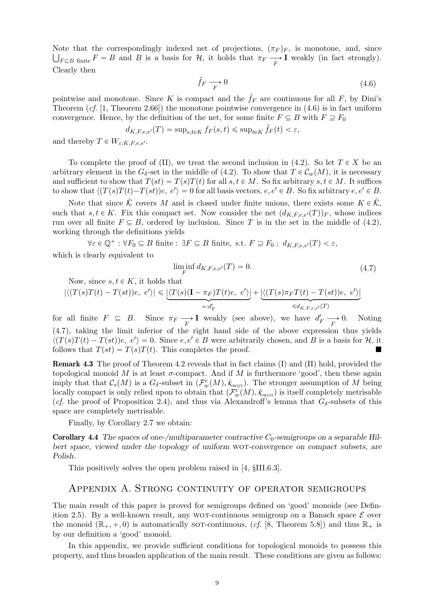Note that the correspondingly indexed net of projections,  $(\pi_F)_F$ , is monotone, and, since  $\bigcup_{F \subseteq B} f$  finite  $F = B$  and B is a basis for  $H$ , it holds that  $\pi_F \longrightarrow \mathbf{I}$  weakly (in fact strongly). Clearly then

<span id="page-8-1"></span>
$$
\tilde{f}_F \xrightarrow{P} 0 \tag{4.6}
$$

pointwise and monotone. Since K is compact and the  $f_F$  are continuous for all F, by Dini's Theorem  $(cf. [1, Theorem 2.66])$  $(cf. [1, Theorem 2.66])$  $(cf. [1, Theorem 2.66])$  the monotone pointwise convergence in  $(4.6)$  is in fact uniform convergence. Hence, by the definition of the net, for some finite  $F \subseteq B$  with  $F \supseteq F_0$ 

$$
d_{K,F,e,e'}(T) = \sup_{s,t \in K} f_F(s,t) \le \sup_{t \in K} \tilde{f}_F(t) < \varepsilon,
$$

and thereby  $T \in W_{\varepsilon; K, F, e, e'}$ .

To complete the proof of (II), we treat the second inclusion in [\(4.2\)](#page-6-3). So let  $T \in X$  be an arbitrary element in the  $G_{\delta}$ -set in the middle of [\(4.2\)](#page-6-3). To show that  $T \in C_w(M)$ , it is necessary and sufficient to show that  $T(st) = T(s)T(t)$  for all  $s, t \in M$ . So fix arbitrary  $s, t \in M$ . It suffices to show that  $\langle (T(s)T(t)-T(st))e, e'\rangle = 0$  for all basis vectors,  $e, e' \in B$ . So fix arbitrary  $e, e' \in B$ .

Note that since  $\tilde{\mathcal{K}}$  covers M and is closed under finite unions, there exists some  $K \in \tilde{\mathcal{K}}$ , such that  $s, t \in K$ . Fix this compact set. Now consider the net  $(d_{K,F,e,e'}(T))_F$ , whose indices run over all finite  $F \subseteq B$ , ordered by inclusion. Since T is in the set in the middle of [\(4.2\)](#page-6-3), working through the definitions yields

$$
\forall \varepsilon \in \mathbb{Q}^+ : \forall F_0 \subseteq B \text{ finite : } \exists F \subseteq B \text{ finite, s.t. } F \supseteq F_0 : d_{K,F,e,e'}(T) < \varepsilon,
$$
 which is clearly equivalent to

<span id="page-8-2"></span>
$$
\liminf_{F} d_{K,F,e,e'}(T) = 0. \tag{4.7}
$$

Now, since 
$$
s, t \in K
$$
, it holds that  
\n
$$
|\langle (T(s)T(t) - T(st))e, e' \rangle| \leq \underbrace{|\langle T(s)(\mathbf{I} - \pi_F)T(t)e, e' \rangle|}_{=:d_F'} + \underbrace{|\langle (T(s)\pi_F T(t) - T(st))e, e' \rangle|}_{\leq d_{K,F,e,e'}(T)}
$$

for all finite  $F \subseteq B$ . Since  $\pi_F \longrightarrow \mathbf{I}$  weakly (see above), we have  $d'_F \longrightarrow 0$ . Noting [\(4.7\)](#page-8-2), taking the limit inferior of the right hand side of the above expression thus yields  $\langle (T(s)T(t) - T(st))e, e' \rangle = 0$ . Since  $e, e' \in B$  were arbitrarily chosen, and B is a basis for H, it follows that  $T(st) = T(s)T(t)$ . This completes the proof.

Remark 4.3 The proof of Theorem [4.2](#page-6-0) reveals that in fact claims (I) and (II) hold, provided the topological monoid M is at least  $\sigma$ -compact. And if M is furthermore 'good', then these again imply that that  $\mathcal{C}_s(M)$  is a  $G_\delta$ -subset in  $(\mathcal{F}_w^c(M), \mathcal{K}_{wor})$ . The stronger assumption of M being locally compact is only relied upon to obtain that  $(\mathcal{F}_w^c(M), k_{\text{wor}})$  is itself completely metrisable (cf. the proof of Proposition [2.4\)](#page-1-1), and thus via Alexandroff's lemma that  $G_{\delta}$ -subsets of this space are completely metrisable.

Finally, by Corollary [2.7](#page-2-0) we obtain:

**Corollary 4.4** The spaces of one-/multiparameter contractive  $C_0$ -semigroups on a separable Hilbert space, viewed under the topology of uniform wot-convergence on compact subsets, are Polish.

<span id="page-8-0"></span>This positively solves the open problem raised in [\[4,](#page-12-0) §III.6.3].

# Appendix A. Strong continuity of operator semigroups

The main result of this paper is proved for semigroups defined on 'good' monoids (see Defin-ition [2.5\)](#page-2-1). By a well-known result, any WOT-continuous semigroup on a Banach space  $\mathcal E$  over the monoid  $(\mathbb{R}_+, +, 0)$  is automatically sot-continuous, (cf. [\[8,](#page-12-16) Theorem 5.8]) and thus  $\mathbb{R}_+$  is by our definition a 'good' monoid.

In this appendix, we provide sufficient conditions for topological monoids to possess this property, and thus broaden application of the main result. These conditions are given as follows: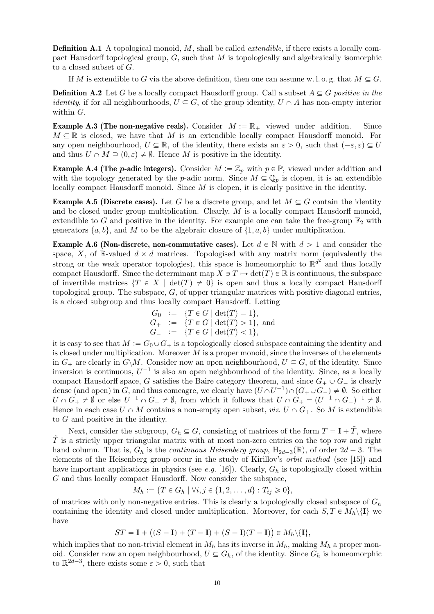**Definition A.1** A topological monoid,  $M$ , shall be called *extendible*, if there exists a locally compact Hausdorff topological group,  $G$ , such that M is topologically and algebraically isomorphic to a closed subset of G.

If M is extendible to G via the above definition, then one can assume w.l.o.g. that  $M \subseteq G$ .

<span id="page-9-0"></span>**Definition A.2** Let G be a locally compact Hausdorff group. Call a subset  $A \subseteq G$  positive in the *identity*, if for all neighbourhoods,  $U \subseteq G$ , of the group identity,  $U \cap A$  has non-empty interior within G.

<span id="page-9-1"></span>**Example A.3 (The non-negative reals).** Consider  $M := \mathbb{R}_+$  viewed under addition. Since  $M \subseteq \mathbb{R}$  is closed, we have that M is an extendible locally compact Hausdorff monoid. For any open neighbourhood,  $U \subseteq \mathbb{R}$ , of the identity, there exists an  $\varepsilon > 0$ , such that  $(-\varepsilon, \varepsilon) \subseteq U$ and thus  $U \cap M \supseteq (0, \varepsilon) \neq \emptyset$ . Hence M is positive in the identity.

**Example A.4 (The p-adic integers).** Consider  $M := \mathbb{Z}_p$  with  $p \in \mathbb{P}$ , viewed under addition and with the topology generated by the p-adic norm. Since  $M \subseteq \mathbb{Q}_p$  is clopen, it is an extendible locally compact Hausdorff monoid. Since  $M$  is clopen, it is clearly positive in the identity.

**Example A.5 (Discrete cases).** Let G be a discrete group, and let  $M \subseteq G$  contain the identity and be closed under group multiplication. Clearly, M is a locally compact Hausdorff monoid, extendible to G and positive in the identity. For example one can take the free-group  $\mathbb{F}_2$  with generators  $\{a, b\}$ , and M to be the algebraic closure of  $\{1, a, b\}$  under multiplication.

<span id="page-9-2"></span>**Example A.6 (Non-discrete, non-commutative cases).** Let  $d \in \mathbb{N}$  with  $d > 1$  and consider the space, X, of R-valued  $d \times d$  matrices. Topologised with any matrix norm (equivalently the strong or the weak operator topologies), this space is homeomorphic to  $\mathbb{R}^{d^2}$  and thus locally compact Hausdorff. Since the determinant map  $X \ni T \mapsto \det(T) \in \mathbb{R}$  is continuous, the subspace of invertible matrices  $\{T \in X \mid \det(T) \neq 0\}$  is open and thus a locally compact Hausdorff topological group. The subspace,  $G$ , of upper triangular matrices with positive diagonal entries, is a closed subgroup and thus locally compact Hausdorff. Letting

$$
G_0 := \{ T \in G \mid \det(T) = 1 \},
$$
  
\n
$$
G_+ := \{ T \in G \mid \det(T) > 1 \},
$$
 and  
\n
$$
G_- := \{ T \in G \mid \det(T) < 1 \},
$$

it is easy to see that  $M := G_0 \cup G_+$  is a topologically closed subspace containing the identity and is closed under multiplication. Moreover  $M$  is a proper monoid, since the inverses of the elements in  $G_+$  are clearly in  $G\backslash M$ . Consider now an open neighbourhood,  $U \subseteq G$ , of the identity. Since inversion is continuous,  $U^{-1}$  is also an open neighbourhood of the identity. Since, as a locally compact Hausdorff space, G satisfies the Baire category theorem, and since  $G_+ \cup G_-$  is clearly dense (and open) in G, and thus comeagre, we clearly have  $(U \cap U^{-1}) \cap (G_{+} \cup G_{-}) \neq \emptyset$ . So either  $U \cap G_+ \neq \emptyset$  or else  $U^{-1} \cap G_- \neq \emptyset$ , from which it follows that  $U \cap G_+ = (U^{-1} \cap G_-)^{-1} \neq \emptyset$ . Hence in each case  $U \cap M$  contains a non-empty open subset, *viz.*  $U \cap G_+$ . So M is extendible to G and positive in the identity.

Next, consider the subgroup,  $G_h \subseteq G$ , consisting of matrices of the form  $T = \mathbf{I} + \tilde{T}$ , where  $T$  is a strictly upper triangular matrix with at most non-zero entries on the top row and right hand column. That is,  $G_h$  is the *continuous Heisenberg group*,  $H_{2d-3}(\mathbb{R})$ , of order  $2d-3$ . The elements of the Heisenberg group occur in the study of Kirillov's orbit method (see [\[15\]](#page-12-20)) and have important applications in physics (see e.g. [\[16\]](#page-12-21)). Clearly,  $G_h$  is topologically closed within G and thus locally compact Hausdorff. Now consider the subspace,

$$
M_h := \{ T \in G_h \mid \forall i, j \in \{1, 2, \dots, d\} : T_{ij} \geq 0 \},
$$

of matrices with only non-negative entries. This is clearly a topologically closed subspace of  $G_h$ containing the identity and closed under multiplication. Moreover, for each  $S, T \in M_h \backslash \{I\}$  we have

$$
ST = \mathbf{I} + ((S - \mathbf{I}) + (T - \mathbf{I}) + (S - \mathbf{I})(T - \mathbf{I})) \in M_h \backslash {\{\mathbf{I}\}},
$$

which implies that no non-trivial element in  $M_h$  has its inverse in  $M_h$ , making  $M_h$  a proper monoid. Consider now an open neighbourhood,  $U \subseteq G_h$ , of the identity. Since  $G_h$  is homeomorphic to  $\mathbb{R}^{2d-3}$ , there exists some  $\varepsilon > 0$ , such that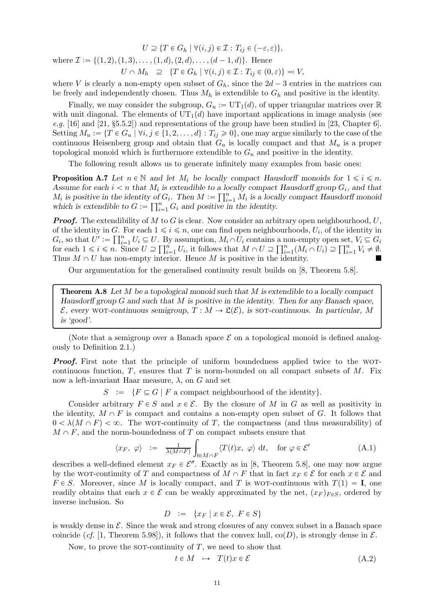$U \supseteq \{T \in G_h \mid \forall (i, j) \in \mathcal{I} : T_{ij} \in (-\varepsilon, \varepsilon)\},\$ where  $\mathcal{I} := \{(1, 2), (1, 3), \ldots, (1, d), (2, d), \ldots, (d - 1, d)\}.$  Hence  $U \cap M_h \supseteq \{T \in G_h \mid \forall (i, j) \in \mathcal{I} : T_{ij} \in (0, \varepsilon)\} =: V,$ 

where V is clearly a non-empty open subset of  $G_h$ , since the  $2d-3$  entries in the matrices can be freely and independently chosen. Thus  $M_h$  is extendible to  $G_h$  and positive in the identity.

Finally, we may consider the subgroup,  $G_u := UT_1(d)$ , of upper triangular matrices over R with unit diagonal. The elements of  $UT_1(d)$  have important applications in image analysis (see e.g. [\[16\]](#page-12-21) and  $[21, §5.5.2]$  and representations of the group have been studied in [\[23,](#page-12-23) Chapter 6]. Setting  $M_u := \{T \in G_u \mid \forall i, j \in \{1, 2, ..., d\} : T_{ij} \geq 0\}$ , one may argue similarly to the case of the continuous Heisenberg group and obtain that  $G_u$  is locally compact and that  $M_u$  is a proper topological monoid which is furthermore extendible to  $G_u$  and positive in the identity.

The following result allows us to generate infinitely many examples from basic ones:

<span id="page-10-1"></span>**Proposition A.7** Let  $n \in \mathbb{N}$  and let  $M_i$  be locally compact Hausdorff monoids for  $1 \leq i \leq n$ . Assume for each  $i < n$  that  $M_i$  is extendible to a locally compact Hausdorff group  $G_i$ , and that  $M_i$  is positive in the identity of  $G_i$ . Then  $M := \prod_{i=1}^n M_i$  is a locally compact Hausdorff monoid which is extendible to  $G := \prod_{i=1}^{n} G_i$  and positive in the identity.

**Proof.** The extendibility of M to G is clear. Now consider an arbitrary open neighbourhood,  $U$ , of the identity in G. For each  $1 \leq i \leq n$ , one can find open neighbourhoods,  $U_i$ , of the identity in  $G_i$ , so that  $U' := \prod_{i=1}^n U_i \subseteq U$ . By assumption,  $M_i \cap U_i$  contains a non-empty open set,  $V_i \subseteq G_i$ for each  $1 \leq i \leq n$ . Since  $U \supseteq \prod_{i=1}^{n} U_i$ , it follows that  $M \cap U \supseteq \prod_{i=1}^{n} (M_i \cap U_i) \supseteq \prod_{i=1}^{n} V_i \neq \emptyset$ . Thus  $M \cap U$  has non-empty interior. Hence M is positive in the identity.

Our argumentation for the generalised continuity result builds on [\[8,](#page-12-16) Theorem 5.8].

<span id="page-10-0"></span>**Theorem A.8** Let M be a topological monoid such that M is extendible to a locally compact Hausdorff group  $G$  and such that  $M$  is positive in the identity. Then for any Banach space,  $\mathcal{E}$ , every WOT-continuous semigroup,  $T : M \to \mathfrak{L}(\mathcal{E})$ , is sot-continuous. In particular, M is 'good'.

(Note that a semigroup over a Banach space  $\mathcal E$  on a topological monoid is defined analogously to Definition [2.1.](#page-1-2))

**Proof.** First note that the principle of uniform boundedness applied twice to the WOTcontinuous function,  $T$ , ensures that  $T$  is norm-bounded on all compact subsets of  $M$ . Fix now a left-invariant Haar measure, λ, on G and set

 $S := \{F \subseteq G \mid F \text{ a compact neighbourhood of the identity}\}.$ 

Consider arbitrary  $F \in S$  and  $x \in \mathcal{E}$ . By the closure of M in G as well as positivity in the identity,  $M \cap F$  is compact and contains a non-empty open subset of G. It follows that  $0 < \lambda(M \cap F) < \infty$ . The wor-continuity of T, the compactness (and thus measurability) of  $M \cap F$ , and the norm-boundedness of T on compact subsets ensure that

$$
\langle x_F, \varphi \rangle \ := \ \frac{1}{\lambda(M \cap F)} \int_{t \in M \cap F} \langle T(t)x, \varphi \rangle \, \mathrm{d}t, \quad \text{for } \varphi \in \mathcal{E}' \tag{A.1}
$$

describes a well-defined element  $x_F \in \mathcal{E}''$ . Exactly as in [\[8,](#page-12-16) Theorem 5.8], one may now argue by the WOT-continuity of T and compactness of  $M \cap F$  that in fact  $x_F \in \mathcal{E}$  for each  $x \in \mathcal{E}$  and  $F \in S$ . Moreover, since M is locally compact, and T is WOT-continuous with  $T(1) = I$ , one readily obtains that each  $x \in \mathcal{E}$  can be weakly approximated by the net,  $(x_F)_{F \in S}$ , ordered by inverse inclusion. So

<span id="page-10-3"></span>
$$
D := \{ x_F \mid x \in \mathcal{E}, F \in S \}
$$

is weakly dense in  $\mathcal{E}$ . Since the weak and strong closures of any convex subset in a Banach space coincide (cf. [\[1,](#page-12-15) Theorem 5.98]), it follows that the convex hull,  $co(D)$ , is strongly dense in  $\mathcal{E}$ .

Now, to prove the sor-continuity of  $T$ , we need to show that

<span id="page-10-2"></span>
$$
t \in M \quad \mapsto \quad T(t)x \in \mathcal{E} \tag{A.2}
$$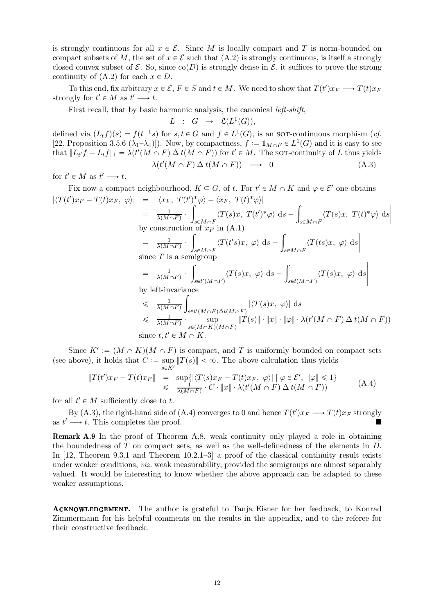is strongly continuous for all  $x \in \mathcal{E}$ . Since M is locally compact and T is norm-bounded on compact subsets of M, the set of  $x \in \mathcal{E}$  such that  $(A.2)$  is strongly continuous, is itself a strongly closed convex subset of  $\mathcal{E}$ . So, since  $\text{co}(D)$  is strongly dense in  $\mathcal{E}$ , it suffices to prove the strong continuity of  $(A.2)$  for each  $x \in D$ .

To this end, fix arbitrary  $x \in \mathcal{E}$ ,  $F \in S$  and  $t \in M$ . We need to show that  $T(t')x_F \longrightarrow T(t)x_F$ strongly for  $t' \in M$  as  $t' \longrightarrow t$ .

First recall, that by basic harmonic analysis, the canonical left-shift,

$$
L \ : \ G \ \rightarrow \ \mathfrak{L}(L^1(G)),
$$

defined via  $(L_t f)(s) = f(t^{-1}s)$  for  $s, t \in G$  and  $f \in L^1(G)$ , is an sort-continuous morphism (*cf.* [\[22,](#page-12-24) Proposition 3.5.6  $(\lambda_1 - \lambda_4)$ ]). Now, by compactness,  $f := \mathbf{1}_{M \cap F} \in L^1(G)$  and it is easy to see that  $||L_{t'}f - L_tf||_1 = \lambda(t'(M \cap F) \Delta t(M \cap F))$  for  $t' \in M$ . The sot-continuity of L thus yields  $\lambda(t'(M \cap F) \Delta t(M \cap F)) \longrightarrow 0$  (A.3)

for  $t' \in M$  as  $t' \longrightarrow t$ .

Fix now a compact neighbourhood,  $K \subseteq G$ , of t. For  $t' \in M \cap K$  and  $\varphi \in \mathcal{E}'$  one obtains  $|\langle T(t')x_F - T(t)x_F, \varphi \rangle| = |\langle x_F, T(t')^* \varphi \rangle - \langle x_F, T(t)^* \varphi \rangle|$ ˇ ż  $\sqrt{2}$ 

$$
= \frac{1}{\lambda(M\cap F)} \cdot \left| \int_{s\in M\cap F} \langle T(s)x, T(t')^*\varphi \rangle ds - \int_{s\in M\cap F} \langle T(s)x, T(t)^*\varphi \rangle ds \right|
$$
  
by construction of  $x_F$  in (A.1)  

$$
= \frac{1}{\lambda(M\cap F)} \cdot \left| \int_{s\in M\cap F} \langle T(t's)x, \varphi \rangle ds - \int_{s\in M\cap F} \langle T(ts)x, \varphi \rangle ds \right|
$$
  
since  $T$  is a semigroup  

$$
= \frac{1}{\lambda(M\cap F)} \cdot \left| \int_{s\in t'(M\cap F)} \langle T(s)x, \varphi \rangle ds - \int_{s\in t(M\cap F)} \langle T(s)x, \varphi \rangle ds \right|
$$

by left-invariance

$$
\leq \frac{1}{\lambda(M\cap F)} \int_{s\in t'(M\cap F)\Delta t(M\cap F)} |\langle T(s)x, \varphi \rangle| ds
$$
  
\n
$$
\leq \frac{1}{\lambda(M\cap F)} \cdot \sup_{s\in (M\cap K)(M\cap F)} \|T(s)\| \cdot \|x\| \cdot \|\varphi\| \cdot \lambda(t'(M\cap F) \Delta t(M\cap F))
$$
  
\nsince  $t, t' \in M \cap K$ .

<span id="page-11-1"></span><span id="page-11-0"></span>ˇ

Since  $K' := (M \cap K)(M \cap F)$  is compact, and T is uniformly bounded on compact sets (see above), it holds that  $C := \sup_{s \in \mathbb{Z}} ||T(s)|| < \infty$ . The above calculation thus yields  $s \in K$ 

$$
||T(t')x_F - T(t)x_F|| = \sup_{\text{sup}}\{|\langle T(s)x_F - T(t)x_F, \varphi \rangle| \mid \varphi \in \mathcal{E}', \|\varphi\| \leq 1\}
$$
  

$$
\leq \frac{1}{\lambda(M \cap F)} \cdot C \cdot ||x|| \cdot \lambda(t'(M \cap F) \Delta t(M \cap F))
$$
 (A.4)

for all  $t' \in M$  sufficiently close to t.

By [\(A.3\)](#page-11-0), the right-hand side of [\(A.4\)](#page-11-1) converges to 0 and hence  $T(t')x_F \longrightarrow T(t)x_F$  strongly as  $t' \longrightarrow t$ . This completes the proof.

Remark A.9 In the proof of Theorem [A.8,](#page-10-0) weak continuity only played a role in obtaining the boundedness of  $T$  on compact sets, as well as the well-definedness of the elements in  $D$ . In [\[12,](#page-12-17) Theorem 9.3.1 and Theorem 10.2.1–3] a proof of the classical continuity result exists under weaker conditions, *viz.* weak measurability, provided the semigroups are almost separably valued. It would be interesting to know whether the above approach can be adapted to these weaker assumptions.

ACKNOWLEDGEMENT. The author is grateful to Tanja Eisner for her feedback, to Konrad Zimmermann for his helpful comments on the results in the appendix, and to the referee for their constructive feedback.